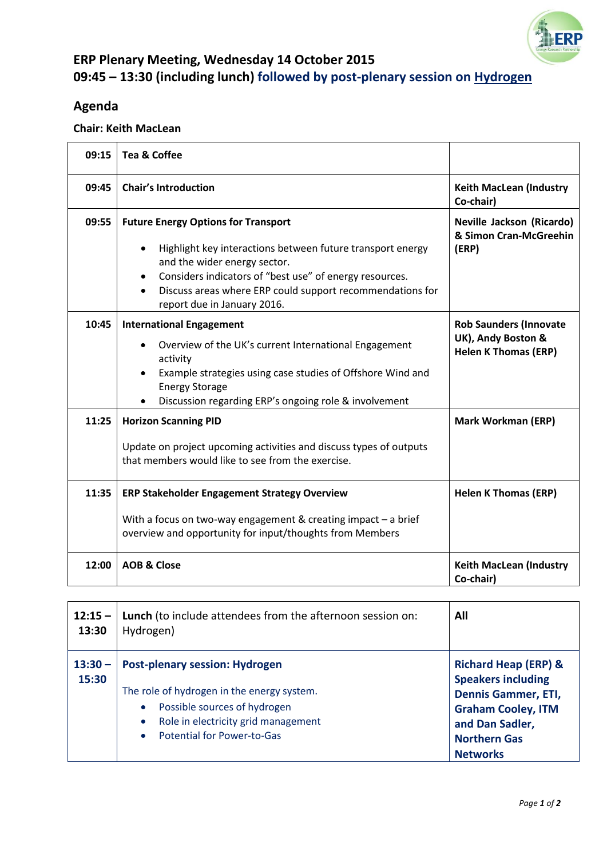

## **ERP Plenary Meeting, Wednesday 14 October 2015 09:45 – 13:30 (including lunch) followed by post-plenary session on Hydrogen**

## **Agenda**

## **Chair: Keith MacLean**

| 09:15 | <b>Tea &amp; Coffee</b>                                                                                                                                                                                                                                                                                      |                                                                                    |
|-------|--------------------------------------------------------------------------------------------------------------------------------------------------------------------------------------------------------------------------------------------------------------------------------------------------------------|------------------------------------------------------------------------------------|
| 09:45 | <b>Chair's Introduction</b>                                                                                                                                                                                                                                                                                  | <b>Keith MacLean (Industry</b><br>Co-chair)                                        |
| 09:55 | <b>Future Energy Options for Transport</b><br>Highlight key interactions between future transport energy<br>$\bullet$<br>and the wider energy sector.<br>Considers indicators of "best use" of energy resources.<br>Discuss areas where ERP could support recommendations for<br>report due in January 2016. | Neville Jackson (Ricardo)<br>& Simon Cran-McGreehin<br>(ERP)                       |
| 10:45 | <b>International Engagement</b><br>Overview of the UK's current International Engagement<br>activity<br>Example strategies using case studies of Offshore Wind and<br><b>Energy Storage</b><br>Discussion regarding ERP's ongoing role & involvement                                                         | <b>Rob Saunders (Innovate</b><br>UK), Andy Boston &<br><b>Helen K Thomas (ERP)</b> |
| 11:25 | <b>Horizon Scanning PID</b><br>Update on project upcoming activities and discuss types of outputs<br>that members would like to see from the exercise.                                                                                                                                                       | <b>Mark Workman (ERP)</b>                                                          |
| 11:35 | <b>ERP Stakeholder Engagement Strategy Overview</b><br>With a focus on two-way engagement & creating impact $-$ a brief<br>overview and opportunity for input/thoughts from Members                                                                                                                          | <b>Helen K Thomas (ERP)</b>                                                        |
| 12:00 | <b>AOB &amp; Close</b>                                                                                                                                                                                                                                                                                       | <b>Keith MacLean (Industry</b><br>Co-chair)                                        |

| $12:15 -$<br>13:30 | Lunch (to include attendees from the afternoon session on:<br>Hydrogen)                                                                                                                         | All                                                                                                                                                                                  |
|--------------------|-------------------------------------------------------------------------------------------------------------------------------------------------------------------------------------------------|--------------------------------------------------------------------------------------------------------------------------------------------------------------------------------------|
| $13:30 -$<br>15:30 | <b>Post-plenary session: Hydrogen</b><br>The role of hydrogen in the energy system.<br>Possible sources of hydrogen<br>Role in electricity grid management<br><b>Potential for Power-to-Gas</b> | <b>Richard Heap (ERP) &amp;</b><br><b>Speakers including</b><br><b>Dennis Gammer, ETI,</b><br><b>Graham Cooley, ITM</b><br>and Dan Sadler,<br><b>Northern Gas</b><br><b>Networks</b> |